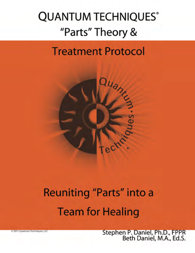# **QUANTUM TECHNIQUES®** "Parts" Theory &

# **Treatment Protocol**



# **Reuniting "Parts" into a Team for Healing**

Stephen P. Daniel, Ph.D., FPPR<br>Beth Daniel, M.A., Ed.S.

2011 Quantum Techniques, LLC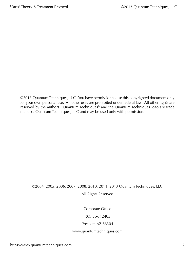©2013 Quantum Techniques, LLC. You have permission to use this copyrighted document only for your own personal use. All other uses are prohibited under federal law. All other rights are reserved by the authors. Quantum Techniques® and the Quantum Techniques logo are trade marks of Quantum Techniques, LLC and may be used only with permission.

#### ©2004, 2005, 2006, 2007, 2008, 2010, 2011, 2013 Quantum Techniques, LLC All Rights Reserved

Corporate Office

P.O. Box 12405

Prescott, AZ 86304

#### <www.quantumtechniques.com>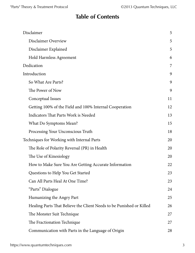## **Table of Contents**

| Disclaimer                                                           | 5  |
|----------------------------------------------------------------------|----|
| Disclaimer Overview                                                  | 5  |
| Disclaimer Explained                                                 | 5  |
| <b>Hold Harmless Agreement</b>                                       | 6  |
| Dedication                                                           | 7  |
| Introduction                                                         | 9  |
| So What Are Parts?                                                   | 9  |
| The Power of Now                                                     | 9  |
| Conceptual Issues                                                    | 11 |
| Getting 100% of the Field and 100% Internal Cooperation              | 12 |
| Indicators That Parts Work is Needed                                 | 13 |
| What Do Symptoms Mean?                                               | 15 |
| Processing Your Unconscious Truth                                    | 18 |
| Techniques for Working with Internal Parts                           | 20 |
| The Role of Polarity Reversal (PR) in Health                         | 20 |
| The Use of Kinesiology                                               | 20 |
| How to Make Sure You Are Getting Accurate Information                | 22 |
| Questions to Help You Get Started                                    | 23 |
| Can All Parts Heal At One Time?                                      | 23 |
| "Parts" Dialogue                                                     | 24 |
| Humanizing the Angry Part                                            | 25 |
| Healing Parts That Believe the Client Needs to be Punished or Killed | 26 |
| The Monster Suit Technique                                           | 27 |
| The Fractionation Technique                                          | 27 |
| Communication with Parts in the Language of Origin                   | 28 |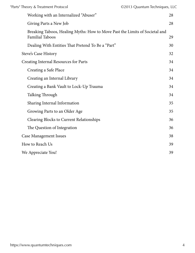| "Parts" Theory & Treatment Protocol                                                                   | ©2013 Quantum Techniques, LLC |    |
|-------------------------------------------------------------------------------------------------------|-------------------------------|----|
| Working with an Internalized "Abuser"                                                                 |                               | 28 |
| Giving Parts a New Job                                                                                |                               | 28 |
| Breaking Taboos, Healing Myths: How to Move Past the Limits of Societal and<br><b>Familial Taboos</b> |                               | 29 |
| Dealing With Entities That Pretend To Be a "Part"                                                     |                               | 30 |
| Steve's Case History                                                                                  |                               | 32 |
| <b>Creating Internal Resources for Parts</b>                                                          |                               | 34 |
| Creating a Safe Place                                                                                 |                               | 34 |
| Creating an Internal Library                                                                          |                               | 34 |
| Creating a Bank Vault to Lock-Up Trauma                                                               |                               | 34 |
| Talking Through                                                                                       |                               | 34 |
| Sharing Internal Information                                                                          |                               | 35 |
| Growing Parts to an Older Age                                                                         |                               | 35 |
| <b>Clearing Blocks to Current Relationships</b>                                                       |                               | 36 |
| The Question of Integration                                                                           |                               | 36 |
| <b>Case Management Issues</b>                                                                         |                               | 38 |
| How to Reach Us                                                                                       |                               | 39 |
| We Appreciate You!                                                                                    |                               | 39 |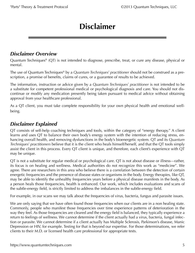# **Disclaimer**

#### <span id="page-4-0"></span>*Disclaimer Overview*

Quantum Techniques® (QT) is not intended to diagnose, prescribe, treat, or cure any disease, physical or mental.

The use of Quantum Techniques® by a *Quantum Techniques® practitioner* should not be construed as a prescription, a promise of benefits, claims of cures, or a guarantee of results to be achieved.

The information, instruction or advice given by a *Quantum Techniques® practitioner* is not intended to be a substitute for competent professional medical or psychological diagnosis and care. You should not discontinue or modify any medication presently being taken pursuant to medical advice without obtaining approval from your healthcare professional.

As a QT client, you must take complete responsibility for your own physical health and emotional wellbeing.

#### *Disclaimer Explained*

QT consists of self-help coaching techniques and tools, within the category of "energy therapy." A client learns and uses QT to balance their own body's energy system with the intention of reducing stress, enhancing overall health, and removing dysfunctions in the body's bioenergetic system. QT and its *Quantum Techniques® practitioners* believe that it is the client who heals himself/herself, and that the QT tools simply assist the client in this process. Every QT client is unique, and therefore, each client's experience with QT may be unique.

QT is not a substitute for regular medical or psychological care. QT is not about disease or illness—rather, its focus is on healing and wellness. Medical authorities do not recognize this work as "medicine". We agree. There are researchers in this area who believe there is a correlation between the detection of certain energetic frequencies and the presence of disease states or organisms in the body. Energy therapies, like QT, may be able to identify the unhealthy frequencies years before a physical disease manifests in the body. As a person heals those frequencies, health is enhanced. Our work, which includes evaluations and scans of the subtle-energy field, is strictly limited to address the imbalances in the subtle-energy field.

For example, in our scans we may talk about the frequencies of virus, bacteria, fungus and parasite issues.

We are only saying that we have often found those frequencies when our clients are in a non healing state. Commonly, people who manifest those frequencies over time experience patterns of deterioration in the way they feel. As those frequencies are cleared and the energy field is balanced, they typically experience a return to feelings of wellness. We cannot determine if the client actually had a virus, bacteria, fungal infection or parasite. We cannot determine if a client actually has Multiple Sclerosis, Parkinson's disease, Manic Depression or HIV, for example. Testing for that is beyond our expertise. For those determinations, we refer clients to their M.D. or licensed health care professional for appropriate tests.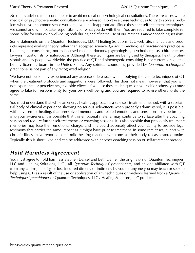<span id="page-5-0"></span>"Parts" Theory & Treatment Protocol ©2013 Quantum Techniques, LLC

No one is advised to discontinue or to avoid medical or psychological consultations. There are cases where medical or psychotherapeutic consultations are advised. Don't use these techniques to try to solve a problem where your common sense would tell you it is inappropriate. Since these are self-treatment techniques, we cannot and will not take responsibility for what you do with them. You are required to take complete responsibility for your own well-being both during and after the use of our materials and/or coaching sessions.

Some statements on the Quantum Techniques, LLC / Healing Solutions, LLC web site, manuals and products represent working theory rather than accepted science. *Quantum Techniques® practitioners* practice as bioenergetic consultants, not as licensed medical doctors, psychologists, psychotherapists, chiropractors, lawyers, nutritionists, or naturopaths. Although these techniques are being used by therapists, health professionals and lay people worldwide, the practice of QT and bioenergetic consulting is not currently regulated by any licensing board in the United States. Any spiritual counseling provided by *Quantum Techniques*<sup>®</sup> *practitioner* is not part of any recognized religion.

We have not personally experienced any adverse side effects when applying the gentle techniques of QT when the treatment protocols and suggestions were followed. This does not mean, however, that you will not experience or perceive negative side effects. If you use these techniques on yourself or others, you must agree to take full responsibility for your own well-being and you are required to advise others to do the same.

You must understand that while an energy healing approach is a safe self-treatment method, with a substantial body of clinical experience showing no serious side-effects when properly administered, it is possible, with any form of healing, that unresolved memories and related emotions and sensations may be brought into your awareness. It is possible that this emotional material may continue to surface after the coaching session and require further self-treatments or coaching sessions. It is also possible that previously traumatic memories may lose their emotional charge, and this could adversely affect your ability to provide legal testimony that carries the same impact as it might have prior to treatment. In some rare cases, clients with chronic illness have reported some mild healing reaction symptoms as their body releases stored toxins. Typically this is short lived and can be addressed with another coaching session or self-treatment protocol.

### *Hold Harmless Agreement*

You must agree to hold harmless Stephen Daniel and Beth Daniel, the originators of Quantum Techniques, LLC and Healing Solutions, LLC , all *Quantum Techniques® practitioners*, and anyone affiliated with QT from any claims, liability, or loss incurred directly or indirectly by you (or anyone you may teach or seek to help using QT) as a result of the use or application of any techniques or methods learned from a *Quantum Techniques® practitioner* or Quantum Techniques, LLC / Healing Solutions, LLC product.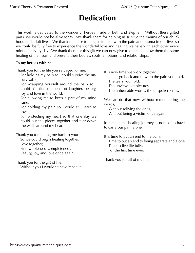# **Dedication**

<span id="page-6-0"></span>This work is dedicated to the wonderful heroes inside of Beth and Stephen. Without these gifted parts, we would not be alive today. We thank them for helping us survive the trauma of our childhood and adult lives. We thank them for forcing us to deal with the pain and trauma in our lives so we could be fully free to experience the wonderful love and healing we have with each other every minute of every day. We thank them for this gift we can now give to others to allow them the same healing of their past and present, their bodies, souls, emotions, and relationships.

#### **To my heroes within:**

Thank you for the life you salvaged for me:

For holding my pain so I could survive the unsurvivable;

For wrapping yourself around the pain so I could still find moments of laughter, beauty, joy and love in the world;

For allowing me to keep a part of my mind sane;

For holding my pain so I could still learn to love;

For protecting my heart so that one day we could put the pieces together and tear down the walls around my heart.

Thank you for calling me back to your pain,

So we could begin healing together, Love together, Find wholeness, completeness, Beauty, joy, and love once again.

Thank you for the gift of life, Without you I wouldn't have made it. It is now time we work together,

Let us go back and unwrap the pain you hold, The tears you hold,

The unviewable pictures,

The unhearable words, the unspoken cries.

We can do that now without remembering the words,

Without reliving the cries, Without being a victim once again.

Join me in this healing journey as none of us have to carry our pain alone.

It is time to put an end to the pain, Time to put an end to being separate and alone Time to live life fully, For the first time ever.

Thank you for all of my life.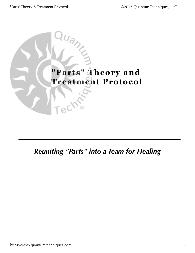"Parts" Theory & Treatment Protocol ©2013 Quantum Techniques, LLC



## *Reuniting "Parts" into a Team for Healing*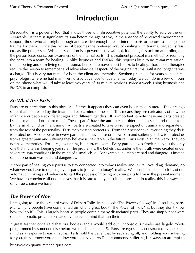# **Introduction**

<span id="page-8-0"></span>Dissociation is a powerful tool that allows those with dissociative potential the ability to survive the unsurvivable. If there is significant trauma before the age of five, in the absence of perceived environmental support, those who are bright enough and creative enough create internal parts or heroes to manage the trauma for them. Once this occurs, it becomes the preferred way of dealing with trauma, neglect, stress, etc. as life progresses. While dissociation is a powerful survival tool, it often gets stuck on auto-pilot, and the person loses conscious awareness of the internal parts. This treatment protocol is a method for reuniting the parts into a team for healing. Unlike hypnosis and EMD/R, this requires little to no re-traumatization, remembering and or reliving of the trauma; hence it removes most blocks to healing. Traditional therapies require the person to remember and relive almost all aspects of the original trauma until it no longer carries a charge. This is very traumatic for both the client and therapist. Stephen practiced for years as a clinical psychologist where he had many very dissociative face to face clients. Today, we can do in a few of hours on the phone what would take at least two years of 90 minute sessions, twice a week, using hypnosis and EMD/R to accomplish.

### *So What Are Parts?*

Parts are our creations in this physical lifetime, it appears they can even be created in utero. They are ego states that are created by the infant and egoic mind of the self. This means they are caricatures of how the infant views people at different ages and different genders. It is important to note these are parts created by the small child or infant mind. These "parts" have the attributes of older parts as seen and understood by the small child or infant mind. All parts are created to take on some aspect of trauma and separate off from the rest of the personality. Parts then exist to protect us. From their perspective, everything they do is to protect us. A core belief in every part, is that they cause or allow pain and suffering today, to protect us from a greater pain and suffering they believe is inevitable in the future. Parts exist in a time warp. They do not have memories. For parts, everything is a current event. Every part believes "their reality" is the only one that matters in keeping you safe. The problem is: the beliefs that underlie their truth were created under severe trauma conditions in the mind of a small child. For example; all men are bad and dangerous instead of that one man was bad and dangerous.

A core part of healing your parts is to stay connected into today's reality and invite, love, drag, demand, do whatever you have to do, to get your parts to join you in today's reality. We must become conscious of our automatic thinking and behavior to start the process of moving with our parts to live in the present moment. We have to convince all of our selves that it is safe to fully exist in the present. In reality, this is always the only true choice we have.

#### *The Power of Now*

I am going to use the great of work of Eckhart Tolle, in his book "The Power of Now," in describing parts. Many, many people have commented on what a great book "The Power of Now" is, but they don't know how to "do it". This is largely because people contain many dissociated parts. They are simply not aware of the automatic programs created by the egoic mind that run their life.

A great teacher once said that our bodies (and I would add our unconscious minds) are largely robots programmed by someone else before we reach the age of 5. Parts are ego states, constructed by the egoic mind as a response to early trauma. Parts hold the belief that by separating off, and holding your suffering for you, they protect you and allow you to survive. As Tolle comments, **suffering is always an attempt to** 

<https://www.quantumtechniques.com>9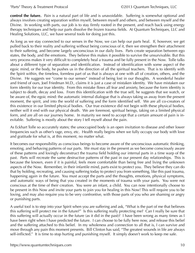**control the future.** Pain is a natural part of life and is unavoidable. Suffering is somewhat optional and always involves creating separation within myself, between myself and others, and between myself and the Divine. In working with parts, our job is to stay firmly rooted in the present, and reach back using energy therapy techniques and help our parts dissolve the frozen trauma fields. At Quantum Techniques, LLC and Healing Solutions, LLC, we have several tools for doing just this.

As long as we stay connected to our senses in the Now, we can help our parts heal. If, however, we get pulled back to their reality and suffering without being conscious of it, then we strengthen their attachment to their suffering, and become largely unconscious in our daily lives. Parts create separation between ego states, the body, and the emotions. They believe this makes it possible to survive the unsurvivable. But this very process makes it very difficult to completely heal a trauma and be fully present in the Now. Tolle talks about a different type of separation and identification. Instead of identification with some aspect of the egoic mind, or the body, he pushes us in the direction of all the spiritual teachers. That is to identify with the Spirit within, the timeless, formless part of us that is always at one with all of creation, others, and the Divine. He suggests we "come to our senses" instead of being lost in our thoughts. A wonderful healer and friend of ours, Joel Friedman M.D., claims it is just a case of mistaken identity. We have mistaken our form identity for our true identity. From this mistake flows all fear and anxiety, because the form identity is subject to death, decay and loss. From this identification with the true self, he suggests that we watch, or be aware of, the egoic mind: the automatic internal dialogue that is always taking us away from the present moment, the spirit, and into the world of suffering and the form identified self. We are all co-creators of this existence in our limited physical bodies. Our true existence did not begin with these physical bodies, neither will it end with our physical death. We are foremost, spiritual beings, taking on a limited physical form, and are all on our journey home. In maturity we need to accept that a certain amount of pain is inevitable. Suffering is mostly about the story I tell myself about the pain.

As Eckhart Tolle so accurately states; the unoccupied body is an open invitation to disease and other lower frequencies such as other's rage, envy, etc. Health really begins when we fully occupy our body with love and gratitude for what is, at this moment, no matter what.

It becomes our responsibility as conscious beings to become aware of the unconscious automatic thinking, emoting, and behaving patterns of our parts. We must stay in the present as we become consciously aware of these patterns and lovingly deconstruct the trauma field holding our internal parts in a time warp of the past. Parts will recreate the same destructive patterns of the past in our present day relationships. This is because the known, even if it is painful, feels more comfortable than being free and living the unknown aspects of the Now. Remember, in their infantile mind, parts exist to protect you. They believe they can do that by holding, recreating, and causing suffering today to protect you from something, like this past trauma, happening again in the future. You must accept the parts and the thoughts, emotions, physical symptoms, and automatic ways of being that you created in the moments of trauma with your parts. You were not conscious at the time of their creation. You were an infant, a child. You can now intentionally choose to be present in this Now and invite your parts to join you for healing in this Now! This will require you to be loving, and may also require you to be very confrontive, with those parts of you who are shaming or angry or punishing parts.

A useful tool is to step into your Spirit when you are suffering and ask, "What is the part of me that believes this suffering will protect me in the future?" Is this suffering really protecting me? Can I really be sure that this suffering will actually occur in the future (as it did in the past)? I have been wrong as many times as I have been right when I have predicted the future. I can choose to be fully here now, and release this belief and the suffering attached to this belief. In my wholeness and connection to all that is, I can survive and move through any pain this moment presents. Bill Clinton has said, "The greatest wounds in life are always self-inflicted." It is time to stop hurting and punishing myself. It simply doesn't work to keep me safe.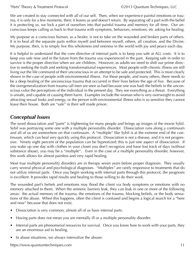<span id="page-10-0"></span>We are created to stay connected with all of our self. Then, when we experience painful emotions or trauma, it is only for a few moments, then; it leaves us and doesn't return. By separating off a part with the belief it is protecting us, we lock a part of ourselves into that painful trauma and memory for all time. Our unconscious keeps calling us back to that trauma with symptoms, behaviors, emotions, etc asking for healing.

My purpose as a conscious human, as a healer, is not to take on the wounded and broken parts of others. It is to heal all the separate parts within myself and between myself, others, all creation, and the Divine. My purpose, then, is to simply live this wholeness and oneness in the world with joy and peace each day.

It is helpful to understand that the core directive of internal parts is to keep you safe at ALL costs. It is to keep you safe now and in the future from the trauma you experienced in the past. Keeping safe in order to survive is the proper directive when we are children. However, as adults we need to shift our prime directive to seeking the truth and seeking transformational experiences. Most people with chronic illness are still living out the life command of their unconscious in an attempt to be safe and protected. This is most clearly shown in the case of people with environmental illness. For these people, and many others, there needs to be a deep healing of the unconscious trauma that occurred in their lives before the age of five. Because of the overgeneralization from trauma (all men are seen as bad because one was bad) the beliefs in the unconscious color the perceptions of the individual in the present day. They see everything as a threat. Everything is unsafe, and capable of causing them harm. Examples include the woman who is very overweight to avoid attracting sexual looks and energy, or the person with environmental illness who is so sensitive they cannot leave their house. Both are "safe" in their self made prison.

#### *Conceptual Issues*

The word dissociation and "parts" is frightening for many people and brings up images of the movie Sybil. Sybil was portraying some one with a multiple personality disorder. Dissociation runs along a continuum and all of us are somewhere on that continuum. A "multiple" like Sybil is at the extreme end of the continuum, which can heal very quickly using this protocol. Dissociation is not a disease, and it is not progressive. Ninety eight percent of the population can be hypnotized; this is just one aspect of dissociation. If you wake up one day with clothes in your closet you don't recognize and have lost track of days (without substance abuse), you may be a "multiple". Even in the case of a multiple personality disorder, however, this work allows for almost painless and very rapid healing.

Most true multiple personality disorders are in therapy seven years before proper diagnosis. They usually carry several physical and psychological diagnoses. "Multiples" are rarely responsive to treatments that do not utilize internal parts. Once you begin working with internal parts through this protocol, the prognosis is excellent. It provides rapid results and healing to those willing to do their work.

The wounded part's beliefs and emotions may flood the client via body symptoms or emotions with no memory attached to them. When the amnesic barriers leak, they can leak in one or more of the following areas: the actual memory of the trauma, the emotions of the trauma, blocking beliefs, or the body sensations of the abuse. When this happens, often the client is confused and begins a logical search for a "here and now" because that does not exist.

- Dissociation is very common; almost all of us have internal parts.
- Having parts does not mean you are mentally ill or a multiple personality disorder.
- Internal parts are phenomenal resources for survival. Once you know how to work with your parts, they are an enormous aid to healing.
- In abuse situations, we always internalize the abuser.

<https://www.quantumtechniques.com>11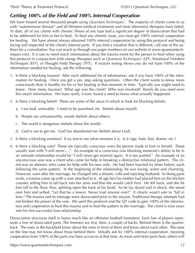## <span id="page-11-0"></span>*Getting 100% of the Field and 100% Internal Cooperation*

We have treated several thousand people using *Quantum Techniques®* . The majority of clients come to us with "autoimmune disease" and all Western medical treatments and most alternative therapies have failed. To date, all of our clients with chronic illness of any type had a significant degree of dissociation that had to be addressed for him or her to heal. To heal any chronic issue, you must get 100% internal cooperation for healing. We have almost always obtained 100% internal cooperation by using this protocol and being loving and respectful of the client's internal parts. If you find a situation that is different, call one of the authors for a consultation. You can reach us through our pager numbers on our website at www.quantumtechniques.com. It is rare to need much information about the trauma event for the person to heal when using this protocol in conjunction with energy therapies such as *Quantum Techniques®* (QT), Emotional Freedom Techniques (EFT), or Thought Field Therapy (TFT). If muscle testing shows you do not have 100% of the information needed for healing, ask the following:

- 1. Is there a blocking trauma? After each additional bit of information, ask if you have 100% of the information for healing. Once you get a yes, stop asking questions. Often the client wants to know more consciously than is healthy for his or her healing at that moment in time. Typically you might need to know: How many traumas? What age was the client? Who was involved? Rarely do you need even this much information. We have rarely, if ever, found a need to know what actually happened.
- 2. Is there a blocking belief? These are some of the areas in which to look for blocking beliefs:
	- a. I am bad, unlovable. I need to be punished, etc. (beliefs about myself)
	- b. People are untrustworthy, unsafe (beliefs about others).
	- c. The world is dangerous (beliefs about the world).
	- d. God is out to get me. God has abandoned me (beliefs about God).
- 3. Is there a blocking emotion? If so, test to see what emotion it is. Is it rage, hate, fear, shame, etc.?
- 4. Is there a blocking vow? These are typically conscious vows the person made to him or herself. These usually start with "I will never….". An example of a conscious vow blocking someone's ability to be in an intimate relationship would be "I will never get married again. It is too painful." An example of an unconscious vow was a client who came for help in breaking a destructive relational pattern. The client was an attorney who came for help with his new wife. He had been married six times before, each following the same pattern. In the beginning of the relationship, he was loving, warm and charming. However, soon after the marriage, he changed into a distant, cold and rejecting husband. In doing parts work, a trauma came up with a vow attached to it. At age two his mother had placed him on the kitchen counter, telling him to fall back into her arms and that she would catch him. He fell back, and she let him fall to the floor, thus, splitting open the back of his head. As he lay dazed and in shock, she stood over him and yelled, "Let that be a lesson. Never trust anyone ever!" It clearly wasn't safe to "fall in love." The trauma and its message were dissociated prior to the session. Traditional therapy attempts had not broken the power of the vow. We used this protocol and the QT code to gain 100% of the information and cooperation to heal this trauma and to heal the pattern in the marriage. The client is now years into his first successful love relationship.

Dissociation structures itself in layers much like an offensive football formation. Each line of players represents a line of dissociated parts. The linemen are first, then, a couple of backs. Behind them is the quarterback. The ones in the backfield know about the ones in front of them and know about each other. The ones on the line may not know about those behind them. Initially ask for 100% internal cooperation, meaning cooperation from 100% of the parts you have access to at that time. As more and more parts heal, others will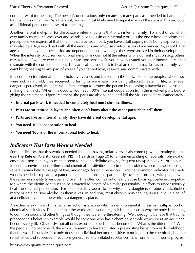<span id="page-12-0"></span>come forward for healing. The person's unconscious only creates as many parts as it needed to handle the trauma in his or her life. As a therapist, you will most likely need to repeat many of the steps in this protocol as additional parts come forward for healing.

Another helpful metaphor for dissociative internal parts is that of an internal family. For most of us, whatever family member comes over and stands next to us (in our internal world) is the one whose emotions and perceptions we express at that time. If that is an adult part, you have adult coping skills being expressed. It may also be a 3-year-old part with all the emotions and impulse control issues of a wounded 3-year-old. The ages of the family members inside are dependent upon at what age they were arrested in their development. When the intensity of current emotional symptoms does not fit the intensity of a current situation (e.g. others may tell you "you are over reacting" or are "too sensitive"), you have activated younger internal parts that resonate with the current situation. They are calling you back to heal an old trauma. Just as in a family, you can't bring healing to any part of yourself you cannot love, respect, and communicate with.

It is common for internal parts to hold live viruses and bacteria in the body. For some people, when they were sick as a child, they received nurturing or were safe from being attacked. Later in life, whenever danger is perceived, the parts will often attempt to protect the person by releasing a bacteria or a virus and making them sick. When this occurs, you need 100% internal cooperation from the involved parts before giving the treatment. Upon treatment, the parts are able to heal and kill the virus or bacteria immediately.

- **Internal parts work is needed to completely heal most chronic illness.**
- **Parts are structured in layers and often don't know about the other parts "behind" them.**
- **Parts are like an internal family. They have different developmental ages.**
- **• You need 100% cooperation to heal.**
- **• You need 100% of the informational field to heal.**

#### *Indicators That Parts Work is Needed*

Some indicators that this work is needed include: having polarity reversals come up when treating trauma (see **The Role of Polarity Reversal (PR) in Health** on Page 20 for an understanding of reversals), physical or emotional non-healing issues that seem to have no definite origins, frequent unexplained viral or bacterial infections, environmental illness and chemical sensitivities, auto-immune problems, seeming self-sabotage, severe trauma before the age of five, and/or ego dystonic behaviors. Another common indicator that parts work is needed is repeating a pattern of failed relationships, particularly love relationships, with people with the same personality types over and over. This often comes out of early abuse by an opposite-sex perpetrator, where the victim continues to be attracted to others of a similar personality in efforts to unconsciously heal the original perpetrator. For example, this seems to be why many daughters of abusive alcoholics marry or date abusive alcoholics themselves. In addition, most chronic non-healing issues involve a belief at a cellular level that the world is a dangerous place.

An extreme example of this belief in action is anyone who has environmental illness or multiple food or chemical sensitivities. The belief that the world and everything in it is dangerous is why the body is reacting to common foods and other things as though they were life-threatening. We thoroughly believe that trauma preceded this belief. An example would be someone who has a chemical or mold exposure as an adult and becomes very ill. Obviously, not all of us exposed to such things become ill. What is the difference? With the people who become ill, the exposure seems to have activated a pre-existing belief from early childhood that the world is unsafe. Not only does the individual become sensitive to mold, or to the chemicals, but the sensitivities and subsequent reactions generalize to unrelated substances. Environmental illness is progres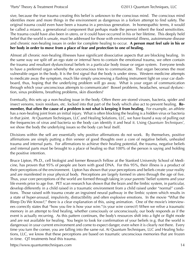sive, because the true trauma creating this belief is unknown to the conscious mind. The conscious mind identifies more and more things in the environment as dangerous in a forlorn attempt to find safety. The original trauma could even have been a trauma in a previous generation. In homeopathic terms, it would be called a miasm, a generational component that perhaps made the person inherit the food sensitivities. The trauma could have also been in utero, or it could have occurred in his or her lifetime. This deeply held belief that the world is unsafe, must be addressed for those with environmental illness, autoimmune disease and chronic non-healing issues in order for complete healing to occur. **A person must feel safe in his or her body in order to move from a place of fear and protection to one of healing.**

Almost all chronic non-healing illnesses have significant dissociative aspects that are blocking healing. In the same way we split off an ego state or internal hero to contain the emotional trauma, we often contain the trauma and resultant dysfunctional beliefs in a particular body tissue or organ system. Everyone tends to have a preferred organ whereby the unconscious tries to communicate. That organ becomes the most vulnerable organ in the body. It is the first signal that the body is under stress. Western medicine attempts to medicate away the symptom, much like simply unscrewing a flashing instrument light on your car dashboard, thus, hoping that the underlying problem will go away. What is your organ of communication through which your unconscious attempts to communicate? Bowel problems, headaches, sexual dysfunction, sinus problems, breathing problems, skin disorders?

Eventually, this sets up a non-healing issue in the body. Often there are stored viruses, bacteria, spider and insect venoms, toxin residues, etc. locked into that part of the body which also act to prevent healing. **Remember, that often the cause of a problem is not what is keeping it from healing.** For example, an athlete has a non-healing joint from an initial injury. What is often blocking the healing is a hidden virus or bacteria in that joint. At Quantum Techniques, LLC and Healing Solutions, LLC, we have found a way of pulling out the frequencies of virus and bacteria so the body can identify it and heal it. Using *Quantum Techniques*<sup>®</sup>, we show the body the underlying issues so the body can heal itself.

Divisions within the self are essentially why positive affirmations do not work. By themselves, positive affirmations are simply putting a thin veneer of good thoughts over a core of negative beliefs, unhealed trauma and internal parts. For affirmations to achieve their healing potential, the trauma, negative beliefs and internal parts must be brought to a place of healing so that 100% of the person is saying and holding the positive intention.

Bruce Lipton, Ph.D., cell biologist and former Research Fellow at the Stanford University School of Medicine, has proven that 95% of people are born with good DNA. For this 95%, their illness is a product of their perceptions of the environment. Lipton has shown that your perceptions and beliefs create your reality and are manifested in your physical body. Perceptions are largely formed in utero through the age of five. Thus, your core perceptions of the world are formed through taking in your parents' belief systems and your life events prior to age five. PET scan research has shown that the brain and the limbic system, in particular, develop differently in a child raised in a traumatic environment from a child raised under "normal" conditions. Those raised with trauma create an ingrained neural pathway in the limbic system which results in a state of hyper-arousal, impulsivity, distractibility and often explosive emotions. In the movie "What the Bleep Do We Know?," there is a clear explanation of this, using animation. One of the movie's interviewees correctly states that "how you fire is how your wire."(is your wire correct?) When we relive a traumatic memory in an attempt to find healing, whether consciously or unconsciously, our body responds as if the event is actually recurring. As this pattern continues, the body's resources shift into a fight or flight mode and are not available for healing. You begin to look for confirmation of your beliefs (e.g. that the world is dangerous) in your current environment and come to expect danger, even when it is clearly not there. Every time you turn the corner, you are falling into the same rut. At Quantum Techniques, LLC and Healing Solutions, LLC, we know that these perceptions are based on traumatic unconscious memories that are frozen in time. QT treatments heal this trauma.

<https://www.quantumtechniques.com>14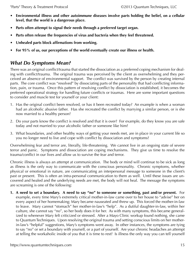- <span id="page-14-0"></span>**• Environmental illness and other autoimmune diseases involve parts holding the belief, on a cellular level, that the world is a dangerous place.**
- **• Parts often attempt to signal their needs through a preferred target organ.**
- Parts often release the frequencies of virus and bacteria when they feel threatened.
- **• Unhealed parts block affirmations from working.**
- For 95% of us, our perceptions of the world eventually create our illness or health.

## *What Do Symptoms Mean?*

There was an original conflict/trauma that started the dissociation as a preferred coping mechanism for dealing with conflict/trauma. The original trauma was perceived by the client as overwhelming and they perceived an absence of environmental support. The conflict was survived by the person by creating internal parts. The core conflict was "resolved" by dissociating parts of the personality that had conflicting information, pain, or trauma. Once this pattern of resolving conflict by dissociation is established, it becomes the preferred operational strategy for handling future conflicts or traumas. Here are some important questions to consider and muscle test for yourself or your client:

- 1. Has the original conflict been resolved, or has it been recreated today? An example is when a woman had an alcoholic abusive father. Has she recreated the conflict by marrying a similar person, or is she now married to a healthy person?
- 2. Do your parts know the conflict is resolved and that it is over? For example, do they know you are safe today and not married to your alcoholic father or someone like him?
- 3. What boundaries, and other healthy ways of getting your needs met, are in place in your current life so you no longer need to live and cope with conflict by dissociation and symptoms?

Overwhelming fear and terror are, literally, life-threatening. We cannot live in an ongoing state of severe terror and panic. Symptoms and dissociation are coping mechanisms. They give us time to resolve the trauma/conflict in our lives and allow us to survive the fear and terror.

Chronic illness is always an attempt at communication. The body or mind will continue to be sick as long as illness is the only way to communicate with the conscious personality. Chronic symptoms, whether physical or emotional in nature, are communicating an interpersonal message to someone in the client's past or present. This is often an intra-personal communication to them as well. Until these issues are uncovered and healed and the underlying needs are met, the body will not heal. The message the symptoms are screaming is one of the following:

**1. A need to set a boundary. A need to say "no" to someone or something, past and/or present.** For example, every time Mary's extremely critical mother-in-law came over to her house to "advise" her on every aspect of her homemaking; Mary became nauseated and threw up. This forced the mother-in-law to leave. Mary cannot "stomach" her mother-in-law's "help". As a dutiful daughter-in-law, within her culture, she cannot say "no", so her body does it for her. As with many symptoms, this became generalized to whenever Mary felt criticized or stressed. After a Mayo Clinic workup found nothing, she came to Quantum Techniques. Upon resolving the original trauma and setting conscious limits on her motherin-law's "helpful" suggestions, Mary's symptoms went away. In other instances, the symptoms are tying to say "no" or set a boundary with yourself, or a part of yourself. Are your chronic headaches an attempt at telling the workaholic inside of you that it is time to rest? Is illness the only way you can tell yourself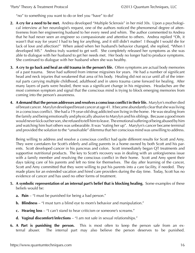"no" to something you want to do or feel you "have" to do?

- **2. A cry for a need to be met.** Andrea developed "Multiple Sclerosis" in her mid 30s. Upon a psychological interview at her neurologist's request, one of the authors noticed the phenomenal degree of attentiveness from her engineering husband to her every need and whim. The author commented to Andrea that he had never seen an engineer so compassionate and attentive to others. Andrea replied "Oh, it wasn't that way for years! I had to beg for anything, and it still didn't matter! I thought I would die for lack of love and affection!" When asked when her husband's behavior changed, she replied, "When I developed MS." Andrea truly wanted to get well. She completely released her symptoms as she was able to dialogue with her husband to get her needs met. Her body no longer had to produce symptoms. She continued to dialogue with her husband when she was healthy.
- **3. A cry to go back and heal an old trauma in the person's life.** Often symptoms are actual body memories of a past trauma. Steve had suffered from intense migraines for years. He had a number of significant head and neck injuries that weakened that area of his body. Healing did not occur until all of the internal parts carrying multiple childhood, adulthood and in utero trauma came forward for healing. After many layers of parts were healed, there was a significant change in his migraines. Headaches are the most common symptom and signal that the conscious mind is trying to block emerging memories from coming into the person's awareness.
- **4. A demand that the person addresses and resolves a conscious conflict in theirlife.** Marylyn's mother died of breast cancer. Marylyn developed breast cancer at age 41. It became abundantly clear that she was living in a conscious conflict. She had a 19-year-old drug addicted son living in the home. He was stealing from the family and being emotionally and physically abusive to Marylyn and his siblings. Because a good mom would never kick out her son, she refused to tell him to leave. The emotional suffering of being abused by him and watching him hurt others was unbearable. It was "eating her up". Marylyn's cancer became terminal and provided the solution to the "unsolvable" dilemma that her conscious mind was unwilling to address.

Being willing to address and resolve a conscious conflict had quite different results for Scott and Amy. They were caretakers for Scott's elderly and ailing parents in a home owned by both Scott and his parents. Scott developed cancer in his pancreas and colon. Scott immediately began QT treatments and supportive nutritional products. The key to Scott's recovery was in dealing with an unforgiveness issue with a family member and resolving the conscious conflict in their home. Scott and Amy spent their days taking care of his parents and left no time for themselves. The day after learning of the cancer, Scott and Amy committed that they were willing to put his parents into a care facility, if needed. They made plans for an extended vacation and hired care providers during the day time. Today, Scott has no evidence of cancer and has used no other forms of treatment.

- **5. A symbolic representation of an internal part's belief that is blocking healing.** Some examples of these beliefs would be:
	- **a. Pain** "I must be punished for being a bad person."
	- **b. Blindness** "I must turn a blind eye to mom's behavior and manipulation."
	- **c. Hearing loss** "I can't stand to hear criticism or someone's screams."
	- **d. Vaginal discomfort/infections** "I am not safe in sexual relationships."
- **6. A Part is punishing the person.** This is most often to keep the person safe from an external abuser. The internal part may also believe the person deserves to be punished.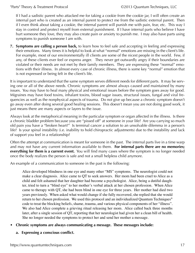If I had a sadistic parent who attacked me for taking a cookie from the cookie jar, I will often create an internal part who is created as an internal parent to protect me from the sadistic external parent. Then if I even think about taking a cookie, the internal parent will punish me with pain, fear, etc. This way I stay in control and protect myself from external punishment. If I have internal parts who believe I have hurt someone they love, they may also create pain or anxiety to punish me. I may also have parts using symptoms to punish someone I am with.

**7. Symptoms are calling a person back,** to learn how to feel safe and accepting in feeling and expressing their emotions. Many times it is helpful to look at what "normal" emotions are missing in the client's life. For example, most of our environmentally ill clients are some of the nicest people in the world. Few, if any, of these clients ever feel or express anger. They never get outwardly angry if their boundaries are violated or their needs are not met by their family members. They are expressing these "normal" emotions with their illness. In almost every case of chronic illness, there is some key "normal" emotion that is not expressed or being felt in the client's life.

It is important to understand that the same symptom serves different needs for different parts. It may be serving one or all of the above needs. Chronic symptoms are almost always caused and maintained by many issues. You may have to heal many physical and emotional issues before the symptom goes away for good. Migraines may have food toxins, inhalant toxins, blood sugar issues, structural issues, fungal and viral frequencies as well as the nonphysical aspects of trauma. Do not give up because a chronic symptom doesn't go away even after doing several good healing sessions. This doesn't mean you are not doing good work, it just means there are many aspects or layers to the issue.

Always look at the metaphorical meaning in the particular symptom or organ affected in the illness. Is there a chronic bladder problem because you are "pissed off" at someone in your life? Are you carrying so much old pain you have a "broken heart?" Is terminal cancer a solution to an unsolvable dilemma in a person's life? Is your spinal instability (i.e. inability to hold chiropractic adjustments) due to the instability and lack of support you feel in a relationship?

Often the attempt at communication is meant for someone in the past. The internal parts live in a time warp and may not have any current information available to them. **For internal parts there are no memories; everything for them is a current event.** You will find many cases where the symptom is no longer needed once the body realizes the person is safe and not a small helpless child anymore.

An example of a communication to someone in the past is the following:

Alice developed blindness in one eye and many other "MS" symptoms. The neurologist could not make a clear diagnosis. Alice came to QT to seek answers. Her mom had been cruel to Alice as a child and felt ashamed that her daughter had become a psychologist. Alice, being a dutiful daughter, tried to turn a "blind eye" to her mother's verbal attack at her chosen profession. When Alice came to therapy with QT, she had been blind in one eye for three years. Her mother had died two years previously. When asked what would change if she fully recovered, she replied that she would return to her chosen profession. We used this protocol and an individualized Quantum Techniques<sup>®</sup> code to treat the blocking beliefs, shame, trauma, and various physical components of her "illness". We also had Alice complete a grieving ritual releasing her mom. Alice called back three months later, after a single session of QT, reporting that her neurologist had given her a clean bill of health. She no longer needed the symptoms to protect her and send her mother a message.

#### **• Chronic symptoms are always communicating a message. These messages include:**

**a. Expressing a conscious conflict.**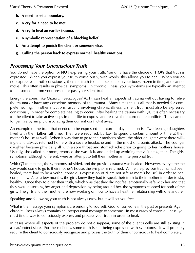- <span id="page-17-0"></span>**b. A need to set a boundary.**
- **c. A cry for a need to be met.**
- **d. A cry to heal an earlier trauma.**
- **e. A symbolic representation of a blocking belief.**
- **f. An attempt to punish the client or someone else.**
- **g. Calling the person back to express normal, healthy emotions.**

#### *Processing Your Unconscious Truth*

You do not have the option of **NOT** expressing your truth. You only have the choice of **HOW** that truth is expressed. When you express your truth consciously, with words, this allows you to heal. When you do not express your truth consciously, then the truth is often locked up in your body, frozen in time, and cannot move. This often results in physical symptoms. In chronic illness, your symptoms are typically an attempt to tell someone from your present or past your silent truth.

Energy therapies, like *Quantum Techniques®* (QT), can heal all aspects of trauma without having to relive the trauma or have any conscious memory of the trauma. Many times this is all that is needed for complete healing. In other situations, usually involving chronic illness, a silent truth must also be expressed consciously in order for complete healing to occur. After healing the trauma with QT, it is often necessary for the client to take active steps in their life to express and resolve their current life conflicts. They can no longer live by simply dissociating their current conflict(s) away.

An example of the truth that needed to be expressed in a current day situation is: Two teenage daughters lived with their father full time. They were required, by law, to spend a certain amount of time at their mother's house as well. When it was time to go to their mother's place, the older daughter went there willingly and always returned home with a severe headache and in the midst of a panic attack. The younger daughter became physically ill with a sore throat and stomachache prior to going to her mother's house. Usually, she called her mom, reported she was sick, and ended up avoiding the visit altogether. The girls' symptoms, although different, were an attempt to tell their mother an interpersonal truth.

With QT treatments, the symptoms subsided, and the previous trauma was healed. However, every time the day would come to go to their mother's house, the symptoms returned. While the previous trauma had been healed, there had to be a verbal conscious expression of "I am not safe at mom's house" in order to heal completely. After a few months, the girls knew they had to speak their truth to their mother in order to stay healthy. Once they told her their truth, which was that they did not feel emotionally safe with her and that they were absorbing her anger and depression by being around her, the symptoms stopped for both of the girls. The girls and their mother are now working on how to have a healthier relationship with one another.

Speaking and following your truth is not always easy, but it will set you free.

What is the message your symptoms are sending to yourself, God, or someone in the past or present? Again, chronic illness always contains an interpersonal message to someone. In most cases of chronic illness, you must find a way to consciously express and process your truth in order to heal.

In cases where all aspects of the problem do not disappear, some of the client's cells are still existing in a fear/protect state. For these clients, some truth is still being expressed with symptoms. It will probably require the client to consciously recognize and process the truth of their unconscious to heal completely.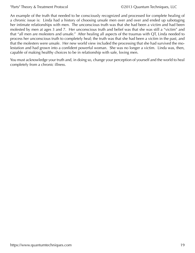An example of the truth that needed to be consciously recognized and processed for complete healing of a chronic issue is: Linda had a history of choosing unsafe men over and over and ended up sabotaging her intimate relationships with men. The unconscious truth was that she had been a victim and had been molested by men at ages 3 and 7. Her unconscious truth and belief was that she was still a "victim" and that "all men are molesters and unsafe." After healing all aspects of the traumas with QT, Linda needed to process her unconscious truth to completely heal; the truth was that she had been a victim in the past, and that the molesters were unsafe. Her new world view included the processing that she had survived the molestation and had grown into a confident powerful woman. She was no longer a victim. Linda was, then, capable of making healthy choices to be in relationship with safe, loving men.

You must acknowledge your truth and, in doing so, change your perception of yourself and the world to heal completely from a chronic illness.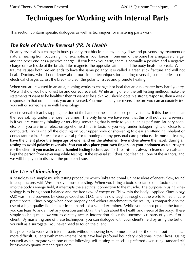# <span id="page-19-0"></span>**Techniques for Working with Internal Parts**

This section contains specific dialogues as well as techniques for mastering parts work.

### *The Role of Polarity Reversal (PR) in Health*

Polarity reversal is a change in body polarity that blocks healthy energy flow and prevents any treatment or natural healing from occurring. For example, in your forearm, one end of the bone has a negative charge, and the other end has a positive charge. If you break your arm, there is normally a positive and a negative charge on each side of the break. Like magnets, the opposites attract, and the body heals the break. When trauma causes both broken ends to have the same polarity, it is called a green stick fracture and will not heal. Doctors, who do not know about our simple techniques for clearing reversals, use batteries to run electrical charges across the break to clear the polarity issues and promote healing.

When you are reversed in an area, nothing works to change it or heal that area no matter how hard you try. We will show you how to test for and correct reversal. While using one of the self-testing methods make the statements "I want to be healthy," then "I want to be sick." You should obtain a strong response, then a weak response, in that order. If not, you are reversed. You must clear your reversal before you can accurately test yourself or someone else with kinesiology.

Most reversals clear by tapping the side of the hand on the karate chop spot five times. If this does not clear the reversal, tap under the nose five times. The only times we have seen that this will not clear a reversal is if you are currently inhaling or touching something that is toxic to you, such as perfume, laundry soap, etc. or if you are in an electromagnetic field that is toxic to you (e.g. under halogen lights or close to a computer). Try taking off the clothing on your upper body or showering to clear an offending inhalant or contactant toxin. Re-test for a reversal prior to putting on any personal care products. **In muscle testing,**  have the client place the fingertips of one hand on the abdomen, two inches above the navel, during all **testing to avoid polarity reversals. You can also place your own fingers on your abdomen as a surrogate for the client if you master a one-handed testing technique.** To date, this has always cleared reversals and kept the person from reversing while testing. If the reversal still does not clear, call one of the authors, and we will help you to discover the problem issue.

### *The Use of Kinesiology*

Kinesiology is a simple muscle testing procedure which links traditional Chinese ideas of energy flow, found in acupuncture, with Western-style muscle testing. When you bring a toxic substance or a toxic statement into the body's energy field, it interrupts the electrical connection to the muscle. The purpose in using kinesiology is to bring about balance and the free flow of energy or Chi within the body. Applied Kinesiology (AK) was first discovered by George Goodheart D.C. and is now taught throughout the world to health care practitioners. Kinesiology, when done properly and without attachment to the results, is comparable to the use of a high quality lie detector in the hands of a skilled examiner. While you cannot predict the future, you can learn to ask almost any question and obtain the truth about the health and needs of the body. These simple techniques allow you to directly access information about the unconscious parts of yourself or a client. By mastering one of these techniques, you can dialogue with your client's field by using the test on yourself as a surrogate. You never need to touch the client.

<https://www.quantumtechniques.com>20 It is possible to work with internal parts without knowing how to muscle test for the client, but it is much more difficult. Clients with many internal parts have had profound boundary violations in their lives. Using yourself as a surrogate with one of the following self- testing methods is preferred over using standard AK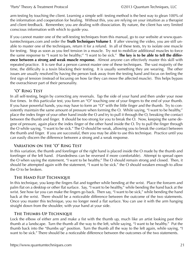arm testing by touching the client. Learning a simple self- testing method is the best way to glean 100% of the information and cooperation for healing. Without this, you are relying on your intuition as a therapist and client feedback. Remember, you are dealing with dissociation. By nature, the client has very limited conscious information with which to guide you.

If you cannot master one of the self-testing techniques from this manual, go to our website at www.quantumtechniques.com and order the **[Truth Techniques Volume I](https://www.quantumtechniques.com/truth-techniques-volume-i-2012-digital-edition)**. If after viewing the video, you are still unable to master one of the techniques, return it for a refund. In all of these tests, try to isolate one muscle for testing. Stop as soon as you feel tension in a muscle. Try not to mobilize additional muscles to force the same response to "I want to be healthy;" "I want to be sick." **The key is to be able to tell the difference between a strong and weak muscle response.** Almost anyone can effectively master this skill with repeated practice. It is rare that a person cannot master one of these techniques. The vast majority of the time, the difficulty is a toxin blocking their testing. It is usually something they are wearing. The other issues are usually resolved by having the person look away from the testing hand and focus on feeling the first sign of tension (instead of focusing on how far they can move the affected muscle). This helps bypass the overachiever part of their personality.

#### **"O" Ring Test**

In all self-testing, begin by correcting any reversals. Tap the side of your hand and then under your nose five times. In this particular test, you form an "O" touching one of your fingers to the end of your thumb. If you have powerful hands, you may have to form an "O" with the little finger and the thumb. Try to consistently maintain the same amount of pressure when forming the O. While saying, "I want to be healthy," place the index finger of your other hand inside the O and try to pull it through the O, breaking the contact between the thumb and finger. It should be too strong for you to break the O. Now, keeping the same degree of pressure, again place the index finger of the other hand inside the O. Try to pull the finger through the O while saying, "I want to be sick." The O should be weak, allowing you to break the contact between the thumb and finger. If you are successful, then you may be able to use this technique. Practice until you can easily discern the difference between a strong and a weak response.

#### **Variation on the "O" Ring Test**

In this variation, the thumb and forefinger of the right hand is placed inside the O made by the thumb and forefinger of the left hand. (Handedness can be reversed if more comfortable). Attempt to spread open the O when saying the statement, "I want to be healthy." The O should remain strong and closed. Then, it should be attempted again with the statement, "I want to be sick." the O should weaken enough to allow the O to be broken.

#### **The Hand Flip Technique**

In this technique, you keep the fingers flat and together while bending at the wrist. Place the forearm and palm flat on a desktop or other flat surface. Say, "I want to be healthy," while bending the hand back at the wrist. See how far you can make the fingers go back. Then say, "I want to be sick," while bending the hand back at the wrist. There should be a noticeable difference between the outcome of the two statements. Once you master this technique, you no longer need a flat surface. You can use it with the arm hanging straight down from the shoulder, with your hand at your side.

#### **The Thumbs-Up Technique**

Lock the elbow of either arm and make a fist with the thumb up, much like an artist looking past their thumb at a landscape. Turn the thumb all the way to the left, while saying, "I want to be healthy." Put the thumb back into the "thumbs up" position. Turn the thumb all the way to the left again, while saying, "I want to be sick." There should be a noticeable difference between the outcomes of the two statements.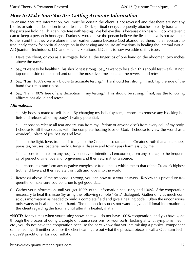#### <span id="page-21-0"></span>*How to Make Sure You Are Getting Accurate Information*

To ensure accurate information, you must be certain the client is not reversed and that there are not any blocks or spiritual deception in your testing. Dark spiritual energy frequently attaches to early trauma that the parts are holding. This can interfere with testing. We believe this is because darkness will do whatever it can to keep a person in bondage. Darkness would have the person believe the lies that love is not available to them and that they were alone in their earlier trauma because God abandoned them. It is necessary to frequently check for spiritual deception in the testing and to use affirmations in healing the internal world. At Quantum Techniques, LLC and Healing Solutions, LLC, this is how we address this issue:

- 1. Have the client, or you as a surrogate, hold all the fingertips of one hand on the abdomen, two inches above the navel.
- 2. Say, "I want to be healthy." This should test strong. Say, "I want to be sick." This should test weak. If not, tap on the side of the hand and under the nose five times to clear the reversal and retest.
- 3. Say, "I am 100% over any blocks to accurate testing." This should test strong. If not, tap the side of the hand five times and retest.
- 4. Say, "I am 100% free of any deception in my testing." This should be strong. If not, say the following affirmations aloud and retest:

#### *Affirmations:*

\* My body is made to self- heal. By changing my belief system, I choose to remove any blocking beliefs and release all of my body's healing potential.

\* I choose to release all fear and trauma from my lifetime or anyone else's from every cell of my body. I choose to fill these spaces with the complete healing love of God. I choose to view the world as a wonderful place of joy, beauty and love.

\* I am the light, love, truth and strength of the Creator. I so radiate the Creator's truth that all darkness, parasites, viruses, bacteria, molds, fungus, disease and toxins pass harmlessly by me.

I choose to transform any negative energy or intentions I encounter, from any source, to the frequency of perfect divine love and forgiveness and then return it to its source.

I choose to transform any negative energies or frequencies within me to that of the Creator's highest truth and love and then radiate this truth and love into the world.

- 5. Retest #4 above. If the response is strong, you can now trust your answers. Review this procedure frequently to make sure you continue to get good data.
- 6. Gather your information until you get 100% of the information necessary and 100% of the cooperation necessary to heal this issue (by using the following sample "Parts" dialogue). Gather only as much conscious information as needed to build a complete field and give a healing code. Often the unconscious only wants to heal the issue at hand. The unconscious does not want to give additional information to the client regarding the trauma until after it is healed, if at all.

**\*NOTE:** Many times when your testing shows that you do not have 100% cooperation, and you have gone through the process of doing a couple of trauma sessions for your parts, looking at what symptoms mean, etc., you do not have the cooperation because the parts know that you are missing a physical component of the healing. If neither you nor the client can figure out what the physical piece is, call a Quantum Techniques® practitioner for a consultation.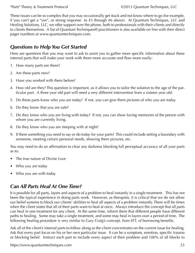<span id="page-22-0"></span>These issues can be so complex that you may occasionally get stuck and not know where to go (for example, if you can't get a "yes", or strong response to #3 through #6 above). At Quantum Techniques, LLC and Healing Solutions, LLC, we offer support over the phone, both to professionals with their clients and directly to clients themselves. A list of Quantum Techniques® practitioners is also available on line with their direct pager numbers at www.quantumtechniques.com.

### *Questions to Help You Get Started*

Here are questions that you may want to ask to assist you to gather more specific information about these internal parts that will make your work with them more accurate and flow more easily:

- 1. How many parts are there?
- 2. Are these parts new?
- 3. Have you worked with them before?
- 4. How old are they? This question is important, as it allows you to tailor the solution to the age of the particular part. A three year old part will need a very different intervention from a sixteen year old.
- 5. Do these parts know who you are today? If not, you can give them pictures of who you are today.
- 6. Do they know that you are safe?
- 7. Do they know who you are living with today? If not, you can show loving memories of the person with whom you are currently living.
- 8. Do they know who you are sleeping with at night?
- 9. If there something you need to say or do today for your parts? This could include setting a boundary with someone, meeting certain personal needs, showing them pictures, etc.

You may need to do an affirmation to clear any darkness blocking full perceptual accuracy of all your parts as to:

- The true nature of Divine Love
- Who you are today
- Who you are with today

## *Can All Parts Heal At One Time?*

It is possible for all parts, layers and aspects of a problem to heal instantly in a single treatment. This has not been the typical experience in doing parts work. However, as therapists, it is critical that we do not allow our belief systems to block our clients' abilities to heal all aspects of a problem instantly. There will be times when the client states that all of their parts want to heal at once. Always introduce the concept that all parts can heal in one treatment for any client. At the same time, inform them that different people have different paths to healing. Some may take a single treatment, and some may heal in layers over a period of time. The following healing procedure is very similar to Gary Craig's concept, from EFT, of borrowing benefits.

Ask all of the client's internal parts to follow along as the client concentrates on the current issue for healing. Ask that every part focus on his or her own particular issue. It can be a symptom, emotion, specific trauma or blocking belief. Instruct each part to include every aspect of their problem and 100% of all blocks to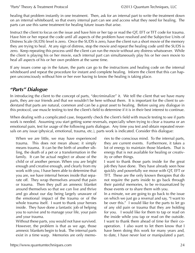<span id="page-23-0"></span>healing that problem instantly in one treatment. Then, ask for an internal part to write the treatment down on an internal whiteboard, so that every internal part can see and access what they need for healing. The parts can use this same treatment for healing future issues that arise.

Instruct the client to focus on the issue and have him or her tap or read the QT, EFT or TFT code for trauma. Have him or her repeat the code until all aspects of the problem have resolved and the Subjective Units of Distress Scale (SUDS) level is zero. Once the SUDS is zero, have the client run a short movie of the memory they are trying to heal. At any sign of distress, stop the movie and repeat the healing code until the SUDS is zero. Keep repeating this process until the client can run the movie without any distress whatsoever. While the client is playing his or her movie, each internal part can simultaneously play his or her own movie to heal all aspects of his or her own problem at the same time.

If any issues come up in the future, the parts can go to the instructions and healing code on the internal whiteboard and repeat the procedure for instant and complete healing. Inform the client that this can happen unconsciously without him or her ever having to know the healing is taking place.

#### *"Parts" Dialogue*

In introducing the client to the concept of parts, "decriminalize" it. We tell the client that we have many parts, they are our friends and that we wouldn't be here without them. It is important for the client to understand that parts are natural, common and can be a great asset to healing. Before using any dialogue in this protocol, use muscle testing to test the client's field to determine if it is in their best interest to continue.

When dealing with a complicated case, frequently check the client's field with muscle testing to see if parts work is needed. Assuming you start getting some reversals, especially when trying to clear a trauma or an emotional pain, test for usage of the following parts dialogue. Any time you test and obtain repeated reversals on any issue (physical, emotional, trauma, etc.), parts work is indicated. Consider this dialogue:

When we are little, we may have experienced trauma. This does not mean abuse; it simply means trauma. It can be the birth of another sibling, the death of a pet or a transformation in the family. It can be actual neglect or abuse of the child or of another person. When you are bright enough and creative enough, and clearly from my work with you, I have been able to determine that you are, we have internal heroes inside that separate off. They wrap themselves around that pain or trauma. Then they pull an amnesic blanket around themselves so that we can live and thrive and go about our day being largely unaware of the emotional impact of the trauma or of the whole trauma itself. I want to thank your heroes inside. They have done a fantastic job of helping you to survive and to manage your life, your pain and your trauma.

Without these parts, you would not have survived. However, the problem is that as we age, those amnesic blankets begin to leak. The internal parts exist in a time warp. Memories are only memories to the conscious mind. To the internal parts, they are current events. Furthermore, it takes a lot of energy to maintain those blankets. That is energy that is not available for healing or creativity or other things.

I want to thank those parts inside for the great job they have done. They have already seen how quickly and powerfully we move with QT, EFT or TFT. These are the only known therapies that do not require the parts inside to go back through their painful memories, to be re-traumatized by those events or to share them with you.

In a minute, we are going to go back to the issue on which we just go a reversal and say, "I want to be over this." I would like for the parts to let go of any old pain or trauma that they are holding for you. I would like for them to tap or read on the inside while you tap or read on the outside. I want to thank them ahead of time for their cooperation. I also want to let them know that I have been doing this work for many years and, to date, I have never lost or manipulated a part.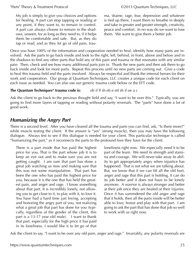<span id="page-24-0"></span>My job is simply to give you choices and options for healing. A part can stop tapping or reading at any point, if they want to, to remain in control. A part can always choose to remain in the shadows, unseen, for as long as they need to, if it helps them be comfortable and safe. But, as they do tap or read, and as they let go of old pain, trauma, shame, rage, fear, depression and whatever is tied up there, I want them to breathe in deeply and take in greater and greater strength, creativity, peace and comfort. In no way do we want to lose them. We want to give them a better job.

Once you have 100% of the information and cooperation needed to heal, identify how many parts are involved. Ask the parts to go back inside and look to the right, left, behind, in front, above and below and in the shadows to find any other parts that hold any of this pain and trauma or that resonates with any similar pain. Then, check and see how many additional parts join in. Thank the new parts and then ask them to go back inside and look for more parts. Repeat this process until no new parts are coming out. Give a code to heal this trauma field and the parts involved. Always be respectful and thank the internal heroes for their work and cooperation. Our group at Quantum Techniques, LLC creates a unique code for each client on each issue as needed. You can also use our generic trauma code below or the EFT code.

#### **The Quantum Techniques® trauma code is:** eb if lf sh eb e mf sh if oe a c

Ask the client to go back to the previous thought field and say, "I want to be over this." Typically, you are going to find more layers of tapping or reading without polarity reversals. The "parts" have done a lot of good work.

### *Humanizing the Angry Part*

There is a second level. After you have cleared all the trauma and parts you can find, ask, "Is there more?" while muscle testing the client. If the answer is "yes" (strong muscle), then you may have the following dialogue. Always test to see if this dialogue is needed for your client. This particular technique is called "humanizing the part," as it reconnects the parts to the profound love they have for the client.

There is a part inside that has paid the highest price for you. That is the part whose job it is to keep an eye out and to make sure you are not getting caught. I am sure that part has done a great job watching us now and making sure that this was not some manipulation. That part has been the one who has paid the highest price for you, because it is the one that has held the greatest pain, and anger and rage. I know something about that part. It is incredibly lonely, not allowing you to get close to it, to play with it, to love it. You have had a hard time just loving, accepting and honoring the angry part of you, not realizing what a great job that part has done for you (typically, regardless of the gender of the client, this part is a 13-17 year old male). I want to thank that part, especially for the high price it has paid in its loneliness. I would like it to let go of that

loneliness right now. We especially need it to be part of the team. We need its strength and stamina and courage. We will never take away its ability to get appropriately angry when injustice has happened. That is not what we are talking about. But, we know that if we can lift all the old hurt, anger and rage that this part is holding, it can do its job better and it does not have to be lonely anymore. A warrior is always stronger and better at their job once they are healed of their injuries. Once it has surrendered the old anger and rage that it holds, then all the parts inside will be better able to love, honor and play with that part. I am going to ask the part that has done that job so well to work with us right now.

Ask the client to say, "I want to be over any old pain, anger and rage." Invariably, any polarity reversals are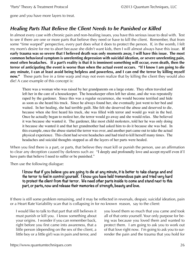<span id="page-25-0"></span>gone and you have more layers to treat.

#### *Healing Parts That Believe the Client Needs to be Punished or Killed*

In almost every case with chronic pain and non-healing issues, you have this serious issue to deal with. Test to see if there are one or more parts that believe they need or have to kill the client. Remember, that from some "time warped" perspective, every part does what it does to protect the person. If, in the womb, I felt my mom's desire for me to abort because she didn't want kids, then I will almost always have this issue. **If early trauma was so severe that I believed death was only moments away, I will have this issue. The most common behavioral symptom is unrelenting depression with suicidal ideation, or severe unrelenting pain, most often headaches. If a part's reality is that it is imminent something will occur, even death, then the terror of anticipating the event is worse than when the actual event occurs. "If I know I am going to die any minute, I can at least avoid being helpless and powerless, and I can end the terror by killing myself now."** These parts live in a time warp and may not even realize that by killing the client they would also die! A case example of this concept is:

There was a woman who was raised by her grandparents on a large estate. They often traveled and left her in the care of a housekeeper. The housekeeper often left her alone, and she was repeatedly raped by the gardener. Since this was a regular occurrence, she would become terrified and hide as soon as she heard his truck. Since he always found her, she eventually just went to her bed and waited. In her healing, she had terrible guilt. She felt she deserved the abuse and deserved to die, because when she first heard his truck, she was filled with terror and would go wait in the bed. Once he actually began to molest her, the terror would go away and she would relax. She believed it was because she wanted it. The gardener, like most child molesters, told her he was only doing it because she wanted it and that her grandmother had asked him to do it because she was bad. In this example, once the abuse started the terror was over, and another part came out to take the actual physical experience. This client had severe headaches and had tried to kill herself many times. The headaches and suicidal thoughts stopped as all the layers of her parts were healed.

When you find there is a part, or parts, that believe they must kill or punish the person, use an affirmation to clear any deception caused by darkness such as: "I deeply and profoundly love and accept myself even if I have parts that believe I need to suffer or be punished."

Then use the following dialogue:

**I know that if you believe you are going to die at any minute, it is better to take charge and end the terror to feel in control yourself. I know you have held tremendous pain and tried very hard to protect the client from that terror. We need other parts inside to come and stand next to this part, or parts, now and release their memories of strength, beauty and love.**

If there is still some problem remaining, and it may be reflected in reversals, despair, suicidal ideation, pain or a Heart Rate Variability scan that is collapsing in for no known reason, say to the client:

I would like to talk to that part that still believes it must punish or kill you. I know something about your origins. I wonder if you can remember back, right before you first came into awareness, that a little person (depending on the sex of the client, a little boy or a little girl) was in pain and terror, and

you loved them so much that you came and took all of that onto yourself. Your only purpose for being was because you loved them and wanted to protect them. I am going to ask you to work out of that love right now. I'm going to ask you to surrender the pain and the trauma that you hold for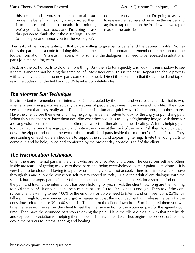<span id="page-26-0"></span>this person, and as you surrender that, to also surrender the belief that the only way to protect them is to choose punishment or death. In a minute, we're going to focus back and I'm going to ask this person to think about those feelings. I want to thank you and honor you for the work you've done in preserving them, but I'm going to ask you to release the trauma and belief on the inside, and again, to tap or read on the inside while we tap or read on the outside.

Then ask, while muscle testing, if that part is willing to give up its belief and the trauma it holds. Sometimes the part needs a code for doing this, sometimes not. It is important to remember the metaphor of the football formation. Parts exist in layers. All or some of the dialogues may need to be repeated as additional parts join the healing team.

Next, ask the part or parts to do one more thing. Ask them to turn quickly and look in their shadow to see if there is another part holding the same belief. Most frequently, this is the case. Repeat the above process with any new parts until no new parts come out to heal. Direct the client into that thought field and tap or read the codes until the field and SUDS level is completely clear.

#### *The Monster Suit Technique*

It is important to remember that internal parts are created by the infant and very young child. That is why internally punishing parts are actually caricatures of people that were in the young child's life. They look very different than they really are. This technique is a fun and quick way to break through to these parts. Have the client close their eyes and imagine going inside themselves to look for the angry or punishing part. When they find that part, have them describe what they see. It is usually a frightening image. Ask them for a strong volunteer inside the client, another part who is further along in their healing. Ask this helping part to quickly run around the angry part, and notice the zipper at the back of the neck. Ask them to quickly pull down the zipper and notice the two or three small child parts inside the "monster" or "anger" suit. They are standing on each others' shoulders to support the suit and appear frightening. Invite the young parts to come out, and be held, loved and comforted by the present day conscious self of the client.

### *The Fractionation Technique*

Often there are internal parts in the client who are very isolated and alone. The conscious self and others inside are fearful of getting to close to these parts and being overwhelmed by their painful emotion(s). It is very hard to be close and loving to a part whose reality you cannot accept. There is a simple way to move through this and allow the conscious self to stay rooted in today. Have the adult client dialogue with the scared, hurt, or angry part inside. Make sure the conscious self is willing to feel, for a short period of time, the pain and trauma the internal part has been holding for years. Ask the client how long are they willing to hold that pain? It only needs to be a minute or less, 30 to 60 seconds is enough. Then ask if the conscious client is willing to feel 100% of the emotion, or do we need to filter it and only feel 50%, 25%? By talking through to the wounded part, get an agreement that the wounded part will release the pain for the conscious self to feel for 30 to 60 seconds. Then count the client down from 5 to 1 and tell them you will time the release. Then allow the client to feel the intense emotion of the wounded part for the agreed upon time. Then have the wounded part stop releasing the pain. Have the client dialogue with that part inside and express appreciation for helping them cope and survive their life. Thus begins the process of breaking down the barriers to internal sharing and healing.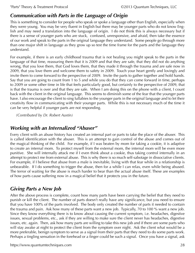## <span id="page-27-0"></span>*Communication with Parts in the Language of Origin*

This is something to consider for people who speak or spoke a language other than English, especially when they were young. You may be very fluent in English but there may be younger parts who do not know English and may need a translation into the language of origin. I do not think this is always necessary but if there is a sense of younger parts who are stuck, confused, unresponsive, and afraid, then take the essence of our work and speak to the parts in the original language they understand. Some people go through more than one major shift in language as they grow up so test the time frame for the parts and the language they understand.

For example, if there is an early childhood trauma that is not healing you might speak to the parts in the language of that time, reassuring them that it is 2009 and that they are safe, that they did not do anything wrong, that you love them, that God loves them, that they made it through the trauma and are safe now in 2009, that you love them and welcome them to safety in 2009. Touch your heart gently and lovingly and invite them to come forward to the perspective of 2009. Invite the parts to gather together and hold hands. Say that you are going to count from 1 to 5 and while you do that they can come forward in time, perhaps to 2009 or some other time in life that feels particularly good, but certainly to the perspective of 2009, that is that the trauma is over and that they are safe. When I am doing this on the phone with a client, I count back with the client in the original language. This seems to diminish some of the fear that the younger parts have. I also encourage the client to sing lullabies to the younger parts in the original language and to let their creativity flow in communicating with their younger parts. While this is not necessary much of the time it can be very helpful if younger parts are not responding.

*(Contributed by Dr. Robert Austin)*

## *Working with an Internalized "Abuser"*

Every client with an abuse history has created an internal part or parts to take the place of the abuser. This is called identification with the abuser. This is an attempt to gain control of the abuse and comes out of the magical thinking of the child. For example, if I was beaten by mom for taking a cookie, it is adaptive to create an internal mom. To protect myself from the external mom, the internal mom will be even more punitive. She will internally attack me if I even think about a cookie, thus taking control internally in an attempt to protect me from external abuse. This is why there is so much self-sabotage in dissociative clients. For example, if I believe that abuse from a male is inevitable, living with that fear while in a relationship is unbearable. If I do something to trigger the abuse, then for a while I can relax, even while being abused. The terror of waiting for the abuse is much harder to bear than the actual abuse itself. These are examples of how parts cause suffering now in a magical belief that it protects you in the future.

## *Giving Parts a New Job*

After the above process is complete, count how many parts have been carrying the belief that they need to punish or kill the client. The number of parts doesn't really have any significance, but you need to ensure that you have 100% of the parts involved. The body only created the number of parts it needed to contain the trauma and pain. Ask how many of these parts want a new job. Typically, 70 to 100 % want a new job. Since they know everything there is to know about causing the current symptom, i.e. headaches, digestive issues, sexual problems, etc., ask if they are willing to make sure the client never has headaches, digestive issues, etc. again. Then, ask how many parts are willing to take this new job and if there are some parts who will stay awake at night to protect the client from the symptom over night. Ask the client what would be a more preferable, benign symptom to serve as a signal from their parts that they need to do some parts work. Perhaps a tingling sensation in the forehead or a finger could be such a signal. Once you have a signal, ask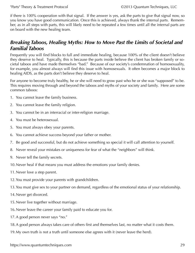<span id="page-28-0"></span>if there is 100% cooperation with that signal. If the answer is yes, ask the parts to give that signal now, so you know you have good communication. Once this is achieved, always thank the internal parts. Remember, as in all steps with parts, this will likely need to be repeated a few times until all the internal parts are on board with the new healing team.

#### *Breaking Taboos, Healing Myths: How to Move Past the Limits of Societal and Familial Taboos*

Frequently you will find blocks to full and immediate healing, because 100% of the client doesn't believe they deserve to heal. Typically, this is because the parts inside believe the client has broken family or societal taboos and have made themselves "bad." Because of our society's condemnation of homosexuality, for example, you almost always will find this issue with homosexuals. It often becomes a major block to healing AIDS, as the parts don't believe they deserve to heal.

For anyone to become truly healthy, he or she will need to grow past who he or she was "supposed" to be. This requires moving through and beyond the taboos and myths of your society and family. Here are some common taboos:

- 1. You cannot leave the family business.
- 2. You cannot leave the family religion.
- 3. You cannot be in an interracial or inter-religion marriage.
- 4. You must be heterosexual.
- 5. You must always obey your parents.
- 6. You cannot achieve success beyond your father or mother.
- 7. Be good and successful, but do not achieve something so special it will call attention to yourself.
- 8. Never reveal your mistakes or uniqueness for fear of what the "neighbors" will think.
- 9. Never tell the family secrets.
- 10.Never heal if that means you must address the emotions your family denies.
- 11.Never love a step parent.
- 12.You must provide your parents with grandchildren.
- 13.You must give sex to your partner on demand, regardless of the emotional status of your relationship.
- 14.Never get divorced.
- 15.Never live together without marriage.
- 16.Never leave the career your family paid to educate you for.
- 17.A good person never says "no."
- 18.A good person always takes care of others first and themselves last, no matter what it costs them.
- 19.My own truth is not a truth until someone else agrees with it (never leave the herd).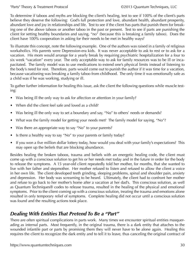<span id="page-29-0"></span>To determine if taboos and myths are blocking the client's healing, test to see if 100% of the client's parts believe they deserve the following: God's full protection and love, abundant health, abundant prosperity, abundant love and joy in relationships and life. Test to see if the client has parts that punish them for breaking one of the above taboos or another taboo in the past or present. Test to see if parts are punishing the client for setting healthy boundaries and saying, "no" (because this is breaking a family taboo). Does the client have 100% cooperation in asking for their needs to be met in healthy ways?

To illustrate this concept, note the following example. One of the authors was raised in a family of religious workaholics. His parents were Depression-era kids. It was never acceptable to ask to rest or to ask for a vacation. His mom would arrange for a yearly break by requiring psychiatric hospitalization for a four to six week "vacation" every year. The only acceptable way to ask for family resources was to be ill or incapacitated. The family model was to use medications to extend one's physical limits instead of listening to the body's need for rest. Therefore, parts would come out to punish the author if it was time for a vacation, because vacationing was breaking a family taboo from childhood. The only time it was emotionally safe as a child was if he was working, studying or ill.

To gather further information for healing this issue, ask the client the following questions while muscle testing:

- Was being ill the only way to ask for affection or attention in your family?
- When did the client feel safe and loved as a child?
- Was being ill the only way to set a boundary and say, "No" to others' needs or demands?
- What was the family model for getting your needs met? The family model for saying, "No"?
- Was there an appropriate way to say "No" to your parents?
- Is there a healthy way to say "No" to your parents or family today?
- If you won a five million dollar lottery today, how would you deal with your family's expectations? This may open up the beliefs that are blocking abundance.

Besides healing the broken taboos, trauma and beliefs with an energetic healing code, the client must come up with a conscious solution to get his or her needs met today and in the future in order for the body to release the symptoms. A 15 year-old client repeatedly told her mother, for months, that she wanted to live with her father and stepmother. Her mother refused to listen and refused to allow the client a voice in her own life. The client developed teeth grinding, sleeping problems, spinal and shoulder pain, anxiety and depression. Her body was screaming to be heard. Ultimately, the client had to confront her mother and refuse to go back to her mother's home after a vacation at her dad's. This conscious solution, as well as Quantum Techniques® codes to release trauma, resulted in the healing of the physical and emotional symptoms. Prior to the client coming up with a conscious solution, treating the trauma and emotions alone resulted in only temporary relief of symptoms. Complete healing did not occur until a conscious solution was found and the resulting actions took place.

### *Dealing With Entities That Pretend To Be a "Part"*

There are often spiritual complications in parts work. Many times we encounter spiritual entities masquerading as internal parts. Most frequently, in the original trauma, there is a dark entity that attaches to the wounded infantile part or parts by promising them they will never have to be alone again. Healing this requires the client to recognize the dark entity and to tell it to leave, thus canceling the original contract of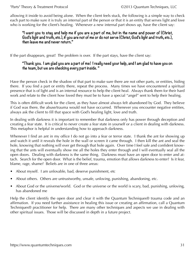allowing it inside to avoid being alone. When the client feels stuck, the following is a simple way to check each part to make sure it is truly an internal part of the person or that it is an entity that serves light and love who is working for the client's healing. Whenever a new internal part shows up, have the client say:

#### **"I want you to stay and help me if you are a part of me, but in the name and power of (Christ, God's light and truth, etc.), if you are not of me or do not serve (Christ, God's light and truth, etc.), then leave me and never return."**

If the part disappears, great! The problem is over. If the part stays, have the client say:

#### **"Thank you. I am glad you are a part of me! I really need your help, and I am glad to have you on the team, but we are checking every part inside. "**

Have the person check in the shadow of that part to make sure there are not other parts, or entities, hiding there. If you find a part or entity there, repeat the process. Many times we have encountered a spiritual presence that is of light and is an internal resource to help the client heal. Always thank them for their hard work and relate to the client how loved they must be to have a special "angel" sent to help their healing.

This is often difficult work for the client, as they have almost always felt abandoned by God. They believe if God was there, the abuse/trauma would not have occurred. Whenever you encounter negative entities, always ask the client to fill that space with God's healing light, love and truth.

In dealing with darkness it is important to remember that darkness only has power through deception and creating a fear state. It is critical to never create a fear state in yourself or a client in dealing with darkness. This metaphor is helpful in understanding how to approach darkness.

Whenever I find an ant in my office I do not go into a fear or terror state. I thank the ant for showing up and watch it until it reveals the hole in the wall or screen it came through. I then kill the ant and seal the hole, knowing that nothing will ever get through that hole again. Over time I feel safe and confident knowing that the ants will eventually show me all the holes they enter through and I will eventually seal all the open doors. Dealing with darkness is the same thing. Darkness must have an open door to enter and attach. Search for the open door. What is the belief, trauma, emotion that allows darkness to enter? Is it fear, blame, rage, shame? Beliefs are in one of three areas:

- About myself. I am unlovable, bad, deserve punishment, etc
- About others. Others are untrustworthy, unsafe, unloving, punishing, abandoning, etc.
- About God or the universe/world. God or the universe or the world is scary, bad, punishing, unloving, has abandoned me

Help the client identify the open door and clear it with the Quantum Techniques® trauma code and an affirmation. If you need further assistance in healing this issue or creating an affirmation, call a Quantum Techniques® practitioner for help. There are many other techniques and aspects we use in dealing with other spiritual issues. Those will be discussed in depth in a future project.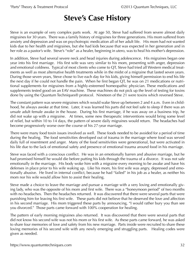# **Steve's Case History**

<span id="page-31-0"></span>Steve is an example of very complex parts work. At age 50, Steve had suffered from severe almost daily migraines for 30 years. There was a family history of migraines for three generations. His mom suffered from anxiety and depression and was on psychotropic medication all of her adult life. His mom had not wanted kids due to her health and migraines, but she had kids because that was expected in her generation and in her role as a pastor's wife. Steve's "role" as a healer, beginning in utero, was to heal his mother's depression.

In addition, Steve had several severe neck and head injuries during adolescence. His migraines began one year into his first marriage. His first wife was very similar to his mom, presenting with anger, depression and emotional coldness. Typical of most clients who come to QT, Steve had tried all Western medical treatments as well as most alternative health treatments while in the midst of a migraine that lasted seven years. During those seven years, Steve chose to live each day for his kids, giving himself permission to end his life the next day if he could not handle the pain. When he first began QT, he was on 21 medications or nutritional supplements for migraines from a highly-esteemed homeopathic physician. These medications and supplements tested good on an EAV machine. These machines do not pick up the level of testing for toxins done by using the Quantum Techniques® protocol. Nineteen of the 21 were toxins which reversed Steve.

The constant pattern was severe migraines which would wake Steve up between 2 and 4 a.m. Even in childhood, he always awoke at that time. Later, it was learned his parts did not feel safe to sleep if there was an unsafe adult female awake in the house. During his first marriage, if he was away on a business trip, he did not wake up with a migraine. At times, some new therapeutic interventions would bring some level of relief, but within 10 to 14 days, the pattern of severe daily migraines would return. The headaches had become progressively worse over the course of his 27-year marriage.

There were many food toxin issues involved as well. These foods needed to be avoided for a period of time during the healing. The food sensitivities developed out of trauma in the marriage where food was served daily full of resentment and anger. Many of the food sensitivities were generational, but were activated in his life due to the lack of emotional safety and presence of emotional trauma around food in his marriage.

Steve was faced with a conscious conflict. He was in an emotionally barren and abusive marriage, but he had promised himself he would die before putting his kids through the trauma of a divorce. It was not safe emotionally in the marriage. His body woke him with a migraine every morning to be awake and have his defenses in place prior to his wife waking up. Like his mom, his first wife was angry, depressed and emotionally abusive. He lived in internal conflict, because he had "failed" in his job as a healer, as neither his mom nor his wife would allow him to assist their healing.

Steve made a choice to leave the marriage and pursue a marriage with a very loving and emotionally giving lady, who was the opposite of his mom and first wife. There was a "honeymoon period" of two months with no headaches. Then the headaches returned. It was discovered that there were several parts that were punishing him for leaving his first wife. These parts did not believe that he deserved the love and affection in his second marriage. His mom triggered these parts by announcing, "I would rather bury you than see you divorced." Those parts came forward with 100% cooperation for healing.

The pattern of early morning migraines also returned. It was discovered that there were several parts that did not know his second wife was not his mom or his first wife. As these parts came forward, he was asked to share four memories of love and safety from his new marriage. Parts inside were recruited to share these loving memories of his second wife with any newly emerging and struggling parts. Healing codes were given as needed.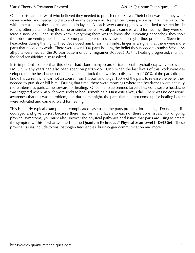Other parts came forward who believed they needed to punish or kill Steve. Their belief was that they were never wanted and needed to die to end mom's depression. Remember, these parts exist in a time warp. As with other aspects, these parts came up in layers. As each layer came up, they were asked to search inside for any other parts holding the same or similar belief. As all parts came forward for healing, they were offered a new job. Because they knew everything there was to know about creating headaches, they took the job of preventing headaches. Some parts elected to stay awake all night, thus protecting Steve from headaches during the night. They developed numbness in an index finger as a signal that there were more parts that needed to work. There were over 1000 parts holding the belief they needed to punish Steve. As all parts were healed, the 30 year pattern of daily migraines stopped! As this healing progressed, many of the food sensitivities also resolved.

It is important to note that this client had done many years of traditional psychotherapy, hypnosis and EMD/R. Many years had also been spent on parts work. Only when the last levels of this work were developed did the headaches completely heal. It took three weeks to discover that 100% of the parts did not know his current wife was not an abuser from his past and to get 100% of the parts to release the belief they needed to punish or kill him. During that time, there were mornings where the headaches were actually more intense as parts came forward for healing. Once the issue seemed largely healed, a severe headache was triggered when his wife wore socks to bed, something his first wife always did. There was no conscious awareness that this was a problem, but, during the night, the parts that had not come up for healing before were activated and came forward for healing.

This is a fairly typical example of a complicated case using the parts protocol for healing. Do not get discouraged and give up just because there may be many layers to each of these core issues. For ongoing physical symptoms, you must also uncover the physical pathways and issues that parts are using to create the symptoms. This is what we teach in the **[Quantum Techniques® Physical Scan Level II DVD Set](https://www.quantumtechniques.com/physical-scan-level-2-quantum-techniques-set)**. These physical issues include toxins, pathogen frequencies, brain-organ communication and more.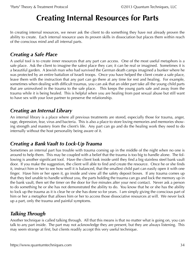# **Creating Internal Resources for Parts**

<span id="page-33-0"></span>In creating internal resources, we never ask the client to do something they have not already proven the ability to create. Each internal resource uses its proven skills in dissociation but places them within reach of the conscious mind and all internal parts.

#### *Creating a Safe Place*

A useful tool is to create inner resources that any part can access. One of the most useful metaphors is a safe place. Ask the client to imagine the safest place they can; it can be real or imagined. Sometimes it is a beautiful garden. A Jewish man who had survived the German death camps imagined a bunker where he was protected by an entire battalion of Israeli troops. Once you have helped the client create a safe place, leave them with the instruction that any part can go there at any time for rest and healing. For example, sometimes when dealing with difficult traumas, you can ask that an older part take all the young child parts that are uninvolved in the trauma to the safe place. This keeps the young parts safe and away from the trauma while it is being healed. This is helpful when you are healing from past sexual abuse but still want to have sex with your love partner to preserve the relationship.

### *Creating an Internal Library*

An internal library is a place where all previous treatments are stored, especially those for trauma, anger, rage, depression, fear, virus and bacteria. This is also a place to store loving memories and memories showing strength and mastery from the client's life. Any part can go and do the healing work they need to do internally without the host personality being aware of it.

### *Creating a Bank Vault to Lock-Up Trauma*

Sometimes an internal part has trouble with trauma coming up in the middle of the night when no one is around to help them. This may be coupled with a belief that the trauma is too big to handle alone. The following is another significant tool. Have the client look inside until they find a big stainless steel bank vault door. If you make the suggestion, the client will able to find and create the resource. Once he or she finds it, instruct him or her to see how well it is balanced, that the smallest child part can easily open it with one finger. Have him or her open it, go inside and view all the safety deposit boxes. If any trauma comes up that they feel unable to handle without you, the parts holding the trauma can go and lock the memory up in the bank vault, then set the timer on the door for five minutes after your next contact. Never ask a person to do something he or she has not demonstrated the ability to do. You know that he or she has the ability to lock up the trauma as it is clear he or she has done so for years. I am simply giving the conscious part of him or her a metaphor that allows him or her to access those dissociative resources at will. We never lock up a part, only the trauma and painful symptoms.

## *Talking Through*

Another technique is called talking through. All that this means is that no matter what is going on, you can talk to any part inside. The part may not acknowledge they are present, but they are always listening. This may seem strange at first, but clients readily accept this very useful technique.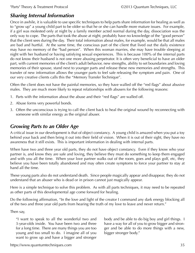#### <span id="page-34-0"></span>*Sharing Internal Information*

Once in awhile, it is valuable to use specific techniques to help parts share information for healing as well as to "grow up" a young child part to be older so that he or she can handle more mature issues. For example, if a girl was molested only at night by a family member acted normal during the day, dissociation was the only way to cope. The parts that took the abuse at night, probably have no knowledge of the "good person" that the client sees during the day. Their total information about males, for example, would be that all males are bad and hurtful. At the same time, the conscious part of the client that lived out the daily existence may have no memory of the "bad person". When this woman marries, she may have trouble sleeping at night with her husband or having satisfying sexual experiences. This is because 100% of the internal parts do not know their husband is not one more abusing perpetrator. It is often very beneficial to have an older part, with current memories of the client's adult behavior, new strengths, ability to set boundaries and loving memories of their spouse, stand next to younger parts and release these new memories and strengths. This transfer of new information allows the younger parts to feel safe releasing the symptom and pain. One of our very creative clients calls this the "Memory Transfer Technique".

Often the client does not have the painful memories, so they have walled off the "red flags" about abusive males. They are much more likely to repeat relationships with abusers for the following reasons:

- 1. Parts with the information about the abuse and their "red flags" are walled off.
- 2. Abuse forms very powerful bonds.
- 3. Often the unconscious is trying to call the client back to heal the original wound by reconnecting with someone with similar energy as the original abuser.

#### *Growing Parts to an Older Age*

A critical issue in our development is that of object constancy. A young child is amazed when you put a toy behind your back and then bring it out into their field of vision. When it is out of their sight, they have no awareness that it still exists. This is important information in dealing with internal parts.

When have two and three year old parts, they do not have object constancy. Even if they know who your partner is, and know they are safe and loving, they believe they must do something to keep them engaged and with you all the time. When your love partner walks out of the room, goes and plays golf, etc, they believe you have been totally abandoned and may often create symptoms to force your partner to stay at hand all the time.

These young parts also do not understand death. Since people magically appear and disappear, they do not understand that an abuser who is dead or in prison cannot just magically appear.

Here is a simple technique to solve this problem. As with all parts techniques, it may need to be repeated as other parts of this developmental age come forward for healing.

Do the following affirmation, "In the love and light of the creator I command any dark energy blocking all of the two and three year old parts from hearing the truth of my love to leave and never return."

Then say,

"I want to speak to all the wonderful two and 3-year-olds inside. You have been two and three for a long time. There are many things you are too young and too small to do. I imagine all of you want to grow up and have a bigger and stronger

body and be able to do big boy and girl things. I have a way for all of you to grow bigger and stronger and be able to do more things with a new, bigger stronger body."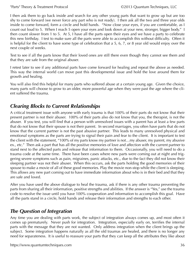<span id="page-35-0"></span>I then ask them to go back inside and search for any other young parts that want to grow up but are too shy to come forward (we never force any part who is not ready). I then ask all the two and three year olds inside to come forward, form a circle and hold hands. "Now close your eyes, if you are comfortable, as I count out loud to 5. When I reach 5 open your eyes and look down at your new, stronger, bigger body." I then count slower from 1 to 5. At 5, I have all the parts open their eyes and we have a party to celebrate this new birthday. I test to make sure all the parts were able to accomplish this without difficulty. Often it is helpful for the client to have some type of celebration that a 5, 6, 7, or 8 year old would enjoy over the next couple of weeks.

Test to see if all the parts know that their loved ones are still there even though they cannot see them and that they are safe from the original abuser.

I retest later to see if any additional parts have come forward for healing and repeat the above as needed. This way the internal world can move past this developmental issue and hold the love around them for growth and healing.

You will also find this helpful for many parts who suffered abuse at a certain young age. Given the choice, many parts will choose to grow to an older, more powerful age when they were past the age where the client suffered the trauma.

## *Clearing Blocks to Current Relationships*

A critical treatment issue with anyone with early trauma is that 100% of their parts do not know that their present partner is not their abuser. 100% of their parts also do not know that you, the therapist, is not the abuser. If you test, you will find that a person with unresolved issues with a parent has at least a few parts that do not know that their spouse is not their parent. In second marriages, you often have parts that do not know that the current partner is not the past abusive partner. This leads to many unresolved physical and emotional symptoms as the parts are trying to signal their pain and fear to the client. It is important to test the client with the statement, "100% of my parts know my partner is not…my abuser, my parent, my abusive ex., etc." Then ask a part that has all the positive memories of love and affection with the current partner to stand next to the affected parts and release that information to them. Occasionally, you will need to do a trauma code at the same time. There have been cases where new parts were coming out at night and triggering severe symptoms such as pain, migraines, panic attacks, etc., due to the fact they did not know their sleeping partner was not their abuser. When this occurs, ask the parts holding the good memories of their spouse to make a movie of all of these good memories. Play the movie non-stop while the client is sleeping. This allows any new part coming out to have immediate information about who is in their bed and that they are safe and loved.

After you have used the above dialogue to heal the trauma, ask if there is any other trauma preventing the parts from sharing all their information, positive strengths and abilities. If the answer is "Yes," use the trauma code to resolve the issue until you have 100% cooperation and information to accomplish this goal. Have all the parts stand in a circle, hold hands and release their information and strengths to each other.

## *The Question of Integration*

Any time you are dealing with parts work, the subject of integration always comes up, and most often it comes up prematurely. Never push for integration. Integration, especially early on, terrifies the internal parts with the message that they are not wanted. Only address integration when the client brings up the subject. Some integration happens naturally as all the old traumas are healed, and there is no longer any need for separateness. It is useful to reassure your parts that they can keep all the attributes they like about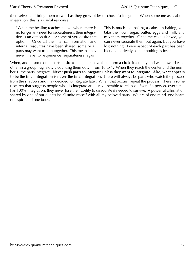themselves and bring them forward as they grow older or chose to integrate. When someone asks about integration, this is a useful response:

"When the healing reaches a level where there is no longer any need for separateness, then integration is an option (if all or some of you desire that option). Once all the internal information and internal resources have been shared, some or all parts may want to join together. This means they never have to experience separateness again.

This is much like baking a cake. In baking, you take the flour, sugar, butter, eggs and milk and mix them together. Once the cake is baked, you can never separate them out again, but you have lost nothing. Every aspect of each part has been blended perfectly so that nothing is lost."

When, and if, some or all parts desire to integrate, have them form a circle internally and walk toward each other in a group hug, slowly counting them down from 10 to 1. When they reach the center and the number 1, the parts integrate. **Never push parts to integrate unless they want to integrate. Also, what appears to be the final integration is never the final integration.** There will always be parts who watch the process from the shadows and may decided to integrate later. When that occurs, repeat the process. There is some research that suggests people who do integrate are less vulnerable to relapse. Even if a person, over time, has 100% integration, they never lose their ability to dissociate if needed to survive. A powerful affirmation shared by one of our clients is: "I unite myself with all my beloved parts. We are of one mind, one heart, one spirit and one body."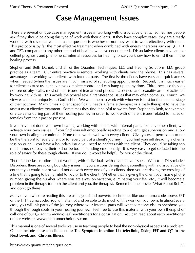## **Case Management Issues**

<span id="page-37-0"></span>There are several unique case management issues in working with dissociative clients. Sometimes people ask if they should be doing this type of work with their clients. If they have complex cases, they are already working with dissociative clients; the question is whether or not they want to work effectively with them. This protocol is by far the most effective treatment when combined with energy therapies such as QT, EFT and TFT, compared to any other method of healing we have encountered. Dissociative clients have an excellent prognosis and phenomenal internal resources for healing, once you know how to enlist them in the healing process.

Stephen and Beth Daniel, and all of the Quantum Techniques, LLC and Healing Solutions, LLC group practice as a team. Our entire practice is remote, working with clients over the phone. This has several advantages in working with clients with internal parts. The first is: the clients have easy and quick access when needed (when the issues are "hot"), instead of scheduling appointments. Second, it is much easier for clients to trust us, as they have complete control and can hang up at any time. Third, because they do not see us physically, most of their issues of fear around physical closeness and sexuality are not activated by working with us. This avoids the typical sexual transference issues that may often come up. Fourth, we view each client uniquely, as God's child. We want them to work with whoever is best for them at that stage of their journey. Many times a client specifically needs a female therapist or a male therapist to have the fastest most effective treatment. Sometimes they find it helpful to switch from Stephen to Beth, for example or vice versa during part of their healing journey in order to work with different issues related to males or females from their past or present.

If you have not done your own healing, working with clients with internal parts, like any other client, will activate your own issues. If you find yourself emotionally reacting to a client, get supervision and allow your own healing to continue. None of us works well with every client. Give yourself permission to not be the therapist for every client or for every part of a client's journey. If you find yourself dreading a client's session or call, you have a boundary issue you need to address with the client. They could be taking too much time, not paying their bill or be too demanding emotionally. It is very easy to get seduced into the role of savior for these tough clients. If you do, it won't be helpful for you or the client.

There is one last caution about working with individuals with dissociative issues. With true Dissociative Disorders, there are strong boundary issues. If you are considering doing something with a dissociative client that you could not or would not do with every one of your clients, then you are risking the crossing of a line that is going to be harmful to you or to the client. Whether that is giving the client your home phone number, giving the number where you are away on vacation, eliminating your fee, etc., it will become a problem in the therapy for both the client and you, the therapist. Remember the movie "What About Bob?", and don't go there!

Many of you who are reading this are using good and powerful techniques like our trauma code above, EFT or the TFT trauma code. You will attempt and be able to do much of this work on your own. In almost every case, you will hit parts of the journey where your internal parts will want someone else to shepherd you through the rough spots in your healing journey. Feel free to use this material with your own therapist or call one of our *Quantum Techniques*<sup>®</sup> practitioners for a consultation. You can read about each practitioner on our website, www.quantumtechniques.com.

This manual is one of several tools we use in teaching people to heal the non-physical aspects of a problem. Others include these teleclinic series: **The [Symptom Intention List](https://www.quantumtechniques.com/products/Symptom-Intention-List) teleclinic, [Taking EFT and QT to the](https://www.quantumtechniques.com/products/EFT-QT) [Next Level,](https://www.quantumtechniques.com/products/EFT-QT)** and **[Chronic Illness.](https://www.quantumtechniques.com/products/chronic-illness)**